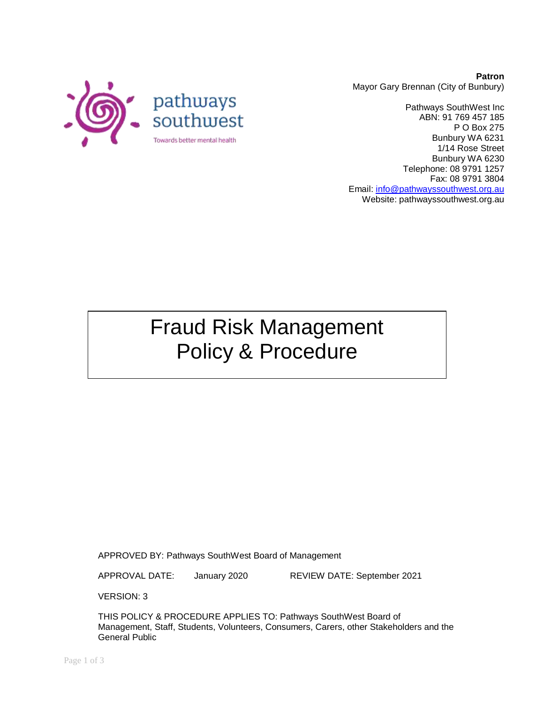

**Patron** Mayor Gary Brennan (City of Bunbury)

Pathways SouthWest Inc ABN: 91 769 457 185 P O Box 275 Bunbury WA 6231 1/14 Rose Street Bunbury WA 6230 Telephone: 08 9791 1257 Fax: 08 9791 3804 Email: [info@pathwayssouthwest.org.au](mailto:info@pathwayssouthwest.org.au) Website: pathwayssouthwest.org.au

## Fraud Risk Management Policy & Procedure

APPROVED BY: Pathways SouthWest Board of Management

APPROVAL DATE: January 2020 REVIEW DATE: September 2021

VERSION: 3

THIS POLICY & PROCEDURE APPLIES TO: Pathways SouthWest Board of Management, Staff, Students, Volunteers, Consumers, Carers, other Stakeholders and the General Public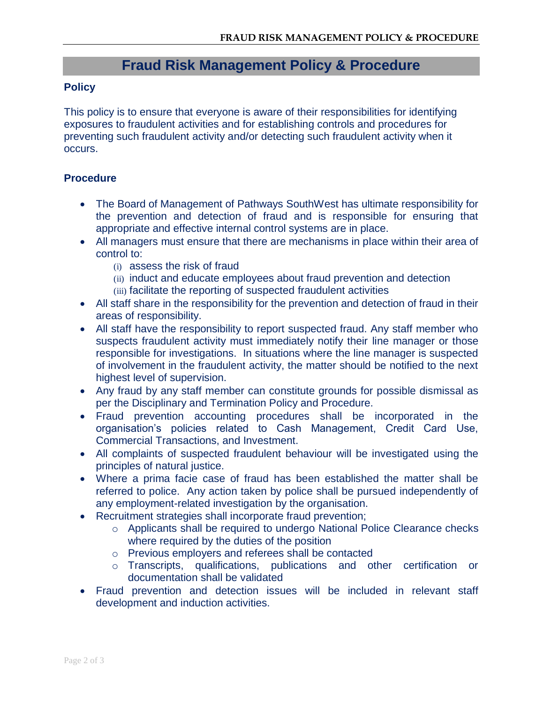## **Fraud Risk Management Policy & Procedure**

## **Policy**

This policy is to ensure that everyone is aware of their responsibilities for identifying exposures to fraudulent activities and for establishing controls and procedures for preventing such fraudulent activity and/or detecting such fraudulent activity when it occurs.

## **Procedure**

- The Board of Management of Pathways SouthWest has ultimate responsibility for the prevention and detection of fraud and is responsible for ensuring that appropriate and effective internal control systems are in place.
- All managers must ensure that there are mechanisms in place within their area of control to:
	- (i) assess the risk of fraud
	- (ii) induct and educate employees about fraud prevention and detection
	- (iii) facilitate the reporting of suspected fraudulent activities
- All staff share in the responsibility for the prevention and detection of fraud in their areas of responsibility.
- All staff have the responsibility to report suspected fraud. Any staff member who suspects fraudulent activity must immediately notify their line manager or those responsible for investigations. In situations where the line manager is suspected of involvement in the fraudulent activity, the matter should be notified to the next highest level of supervision.
- Any fraud by any staff member can constitute grounds for possible dismissal as per the Disciplinary and Termination Policy and Procedure.
- Fraud prevention accounting procedures shall be incorporated in the organisation's policies related to Cash Management, Credit Card Use, Commercial Transactions, and Investment.
- All complaints of suspected fraudulent behaviour will be investigated using the principles of natural justice.
- Where a prima facie case of fraud has been established the matter shall be referred to police. Any action taken by police shall be pursued independently of any employment-related investigation by the organisation.
- Recruitment strategies shall incorporate fraud prevention;
	- o Applicants shall be required to undergo National Police Clearance checks where required by the duties of the position
	- o Previous employers and referees shall be contacted
	- o Transcripts, qualifications, publications and other certification or documentation shall be validated
- Fraud prevention and detection issues will be included in relevant staff development and induction activities.